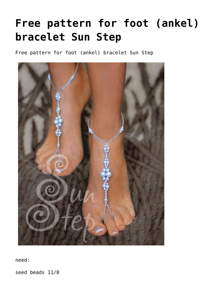## **[Free pattern for foot \(ankel\)](https://beadsmagic.com/free-pattern-for-footankel-bracelet-sun-step/) [bracelet Sun Step](https://beadsmagic.com/free-pattern-for-footankel-bracelet-sun-step/)**

Free pattern for foot (ankel) bracelet Sun Step



need:

seed beads 11/0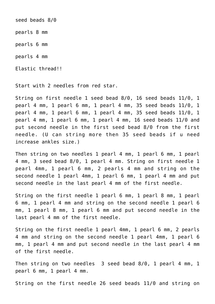seed beads 8/0 pearls 8 mm pearls 6 mm pearls 4 mm Elastic thread!!

Start with 2 needles from red star.

String on first needle 1 seed bead 8/0, 16 seed beads 11/0, 1 pearl 4 mm, 1 pearl 6 mm, 1 pearl 4 mm, 35 seed beads 11/0, 1 pearl 4 mm, 1 pearl 6 mm, 1 pearl 4 mm, 35 seed beads 11/0, 1 pearl 4 mm, 1 pearl 6 mm, 1 pearl 4 mm, 16 seed beads 11/0 and put second needle in the first seed bead 8/0 from the first needle. (U can string more then 35 seed beads if u need increase ankles size.)

Then string on two needles 1 pearl 4 mm, 1 pearl 6 mm, 1 pearl 4 mm, 3 seed bead 8/0, 1 pearl 4 mm. String on first needle 1 pearl 4mm, 1 pearl 6 mm, 2 pearls 4 mm and string on the second needle 1 pearl 4mm, 1 pearl 6 mm, 1 pearl 4 mm and put second needle in the last pearl 4 mm of the first needle.

String on the first needle 1 pearl 6 mm, 1 pearl 8 mm, 1 pearl 6 mm, 1 pearl 4 mm and string on the second needle 1 pearl 6 mm, 1 pearl 8 mm, 1 pearl 6 mm and put second needle in the last pearl 4 mm of the first needle.

String on the first needle 1 pearl 4mm, 1 pearl 6 mm, 2 pearls 4 mm and string on the second needle 1 pearl 4mm, 1 pearl 6 mm, 1 pearl 4 mm and put second needle in the last pearl 4 mm of the first needle.

Then string on two needles 3 seed bead 8/0, 1 pearl 4 mm, 1 pearl 6 mm, 1 pearl 4 mm.

String on the first needle 26 seed beads 11/0 and string on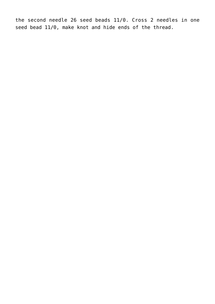the second needle 26 seed beads 11/0. Cross 2 needles in one seed bead 11/0, make knot and hide ends of the thread.